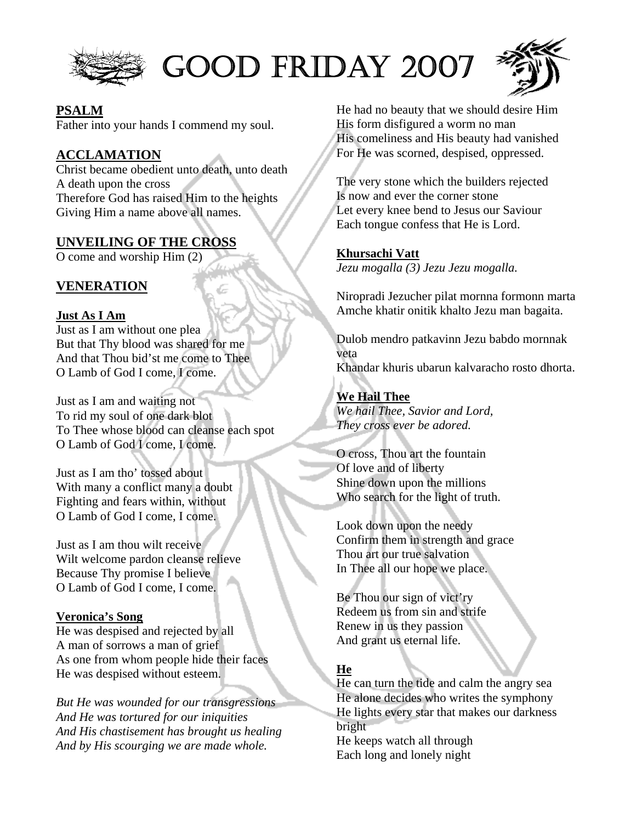

# GOOD FRIDAY 2007



#### **PSALM**

Father into your hands I commend my soul.

## **ACCLAMATION**

Christ became obedient unto death, unto death A death upon the cross Therefore God has raised Him to the heights Giving Him a name above all names.

### **UNVEILING OF THE CROSS**

O come and worship Him (2)

## **VENERATION**

#### **Just As I Am**

Just as I am without one plea But that Thy blood was shared for me And that Thou bid'st me come to Thee O Lamb of God I come, I come.

Just as I am and waiting not To rid my soul of one dark blot To Thee whose blood can cleanse each spot O Lamb of God I come, I come.

Just as I am tho' tossed about With many a conflict many a doubt Fighting and fears within, without O Lamb of God I come, I come.

Just as I am thou wilt receive Wilt welcome pardon cleanse relieve Because Thy promise I believe O Lamb of God I come, I come.

#### **Veronica's Song**

He was despised and rejected by all A man of sorrows a man of grief As one from whom people hide their faces He was despised without esteem.

*But He was wounded for our transgressions And He was tortured for our iniquities And His chastisement has brought us healing And by His scourging we are made whole.* 

He had no beauty that we should desire Him His form disfigured a worm no man His comeliness and His beauty had vanished For He was scorned, despised, oppressed.

The very stone which the builders rejected Is now and ever the corner stone Let every knee bend to Jesus our Saviour Each tongue confess that He is Lord.

### **Khursachi Vatt**

*Jezu mogalla (3) Jezu Jezu mogalla.* 

Niropradi Jezucher pilat mornna formonn marta Amche khatir onitik khalto Jezu man bagaita.

Dulob mendro patkavinn Jezu babdo mornnak veta Khandar khuris ubarun kalvaracho rosto dhorta.

## **We Hail Thee**

*We hail Thee, Savior and Lord, They cross ever be adored.* 

O cross, Thou art the fountain Of love and of liberty Shine down upon the millions Who search for the light of truth.

Look down upon the needy Confirm them in strength and grace Thou art our true salvation In Thee all our hope we place.

Be Thou our sign of vict'ry Redeem us from sin and strife Renew in us they passion And grant us eternal life.

## **He**

He can turn the tide and calm the angry sea He alone decides who writes the symphony He lights every star that makes our darkness bright He keeps watch all through Each long and lonely night